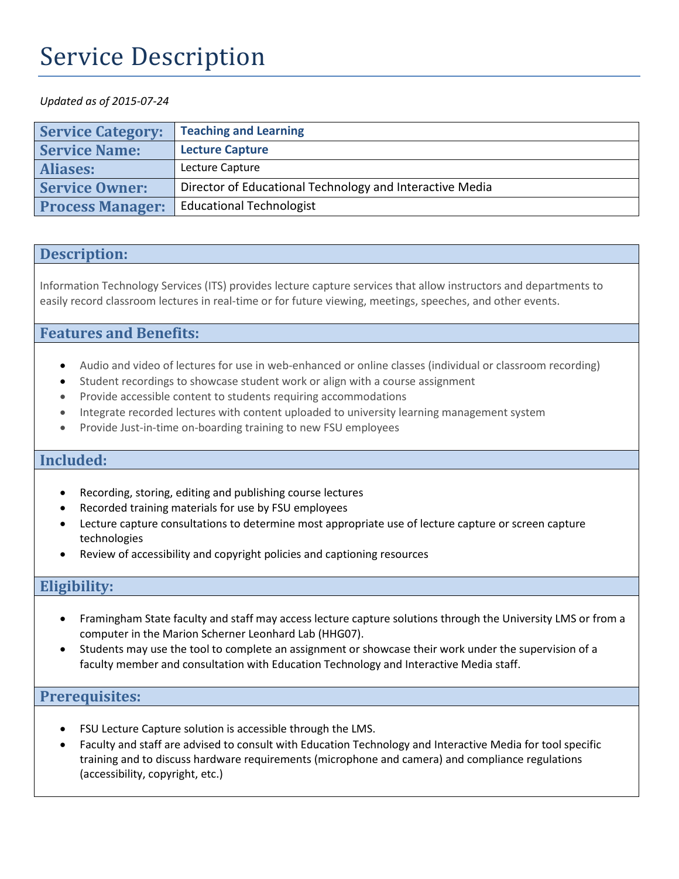# Service Description

#### *Updated as of 2015-07-24*

| <b>Service Category:</b> | <b>Teaching and Learning</b>                             |
|--------------------------|----------------------------------------------------------|
| <b>Service Name:</b>     | <b>Lecture Capture</b>                                   |
| <b>Aliases:</b>          | Lecture Capture                                          |
| <b>Service Owner:</b>    | Director of Educational Technology and Interactive Media |
| <b>Process Manager:</b>  | <b>Educational Technologist</b>                          |

#### **Description:**

Information Technology Services (ITS) provides lecture capture services that allow instructors and departments to easily record classroom lectures in real-time or for future viewing, meetings, speeches, and other events.

## **Features and Benefits:**

- Audio and video of lectures for use in web-enhanced or online classes (individual or classroom recording)
- Student recordings to showcase student work or align with a course assignment
- Provide accessible content to students requiring accommodations
- Integrate recorded lectures with content uploaded to university learning management system
- Provide Just-in-time on-boarding training to new FSU employees

#### **Included:**

- Recording, storing, editing and publishing course lectures
- Recorded training materials for use by FSU employees
- Lecture capture consultations to determine most appropriate use of lecture capture or screen capture technologies
- Review of accessibility and copyright policies and captioning resources

## **Eligibility:**

- Framingham State faculty and staff may access lecture capture solutions through the University LMS or from a computer in the Marion Scherner Leonhard Lab (HHG07).
- Students may use the tool to complete an assignment or showcase their work under the supervision of a faculty member and consultation with Education Technology and Interactive Media staff.

#### **Prerequisites:**

- FSU Lecture Capture solution is accessible through the LMS.
- Faculty and staff are advised to consult with Education Technology and Interactive Media for tool specific training and to discuss hardware requirements (microphone and camera) and compliance regulations (accessibility, copyright, etc.)